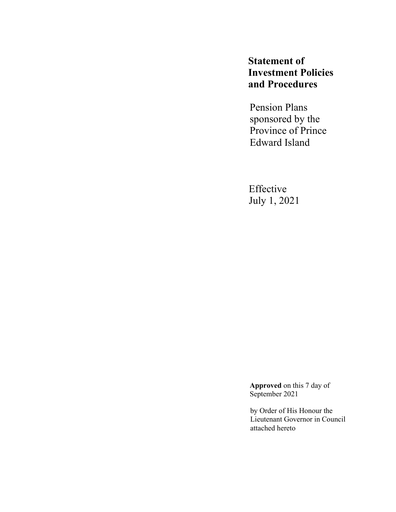**Statement of Investment Policies and Procedures**

Pension Plans sponsored by the Province of Prince Edward Island

Effective July 1, 2021

**Approved** on this 7 day of September 2021

by Order of His Honour the Lieutenant Governor in Council attached hereto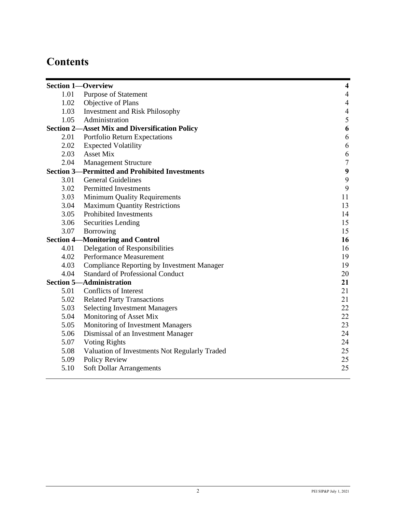# **Contents**

|      | <b>Section 1-Overview</b>                             | $\overline{\mathbf{4}}$ |
|------|-------------------------------------------------------|-------------------------|
| 1.01 | <b>Purpose of Statement</b>                           | $\overline{4}$          |
| 1.02 | Objective of Plans                                    | $\overline{4}$          |
| 1.03 | <b>Investment and Risk Philosophy</b>                 | $\overline{4}$          |
| 1.05 | Administration                                        | 5                       |
|      | <b>Section 2-Asset Mix and Diversification Policy</b> | $\boldsymbol{6}$        |
| 2.01 | Portfolio Return Expectations                         | $\sqrt{6}$              |
| 2.02 | <b>Expected Volatility</b>                            | $\sqrt{6}$              |
| 2.03 | <b>Asset Mix</b>                                      | 6                       |
| 2.04 | <b>Management Structure</b>                           | $\boldsymbol{7}$        |
|      | <b>Section 3-Permitted and Prohibited Investments</b> | $\frac{9}{9}$           |
| 3.01 | <b>General Guidelines</b>                             |                         |
| 3.02 | <b>Permitted Investments</b>                          | 9                       |
| 3.03 | Minimum Quality Requirements                          | 11                      |
| 3.04 | <b>Maximum Quantity Restrictions</b>                  | 13                      |
| 3.05 | <b>Prohibited Investments</b>                         | 14                      |
| 3.06 | <b>Securities Lending</b>                             | 15                      |
| 3.07 | Borrowing                                             | 15                      |
|      | <b>Section 4-Monitoring and Control</b>               | 16                      |
| 4.01 | Delegation of Responsibilities                        | 16                      |
| 4.02 | Performance Measurement                               | 19                      |
| 4.03 | <b>Compliance Reporting by Investment Manager</b>     | 19                      |
| 4.04 | <b>Standard of Professional Conduct</b>               | 20                      |
|      | <b>Section 5-Administration</b>                       | 21                      |
| 5.01 | Conflicts of Interest                                 | 21                      |
| 5.02 | <b>Related Party Transactions</b>                     | 21                      |
| 5.03 | <b>Selecting Investment Managers</b>                  | 22                      |
| 5.04 | Monitoring of Asset Mix                               | 22                      |
| 5.05 | Monitoring of Investment Managers                     | 23                      |
| 5.06 | Dismissal of an Investment Manager                    | 24                      |
| 5.07 | <b>Voting Rights</b>                                  | 24                      |
| 5.08 | Valuation of Investments Not Regularly Traded         | 25                      |
| 5.09 | Policy Review                                         | 25                      |
| 5.10 | <b>Soft Dollar Arrangements</b>                       | 25                      |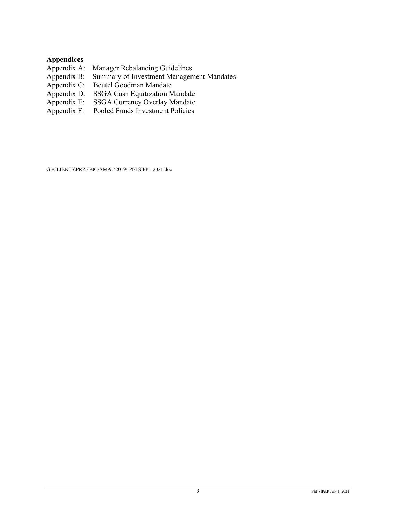#### **Appendices**

- Appendix A: Manager Rebalancing Guidelines<br>Appendix B: Summary of Investment Managem
- Appendix B: Summary of Investment Management Mandates<br>Appendix C: Beutel Goodman Mandate
- Appendix C: Beutel Goodman Mandate<br>Appendix D: SSGA Cash Equitization M
- Appendix D: SSGA Cash Equitization Mandate<br>Appendix E: SSGA Currency Overlay Mandate
- Appendix E: SSGA Currency Overlay Mandate
- Appendix F: Pooled Funds Investment Policies

G:\CLIENTS\PRPEI\0G\AM\91\2019\ PEI SIPP - 2021.doc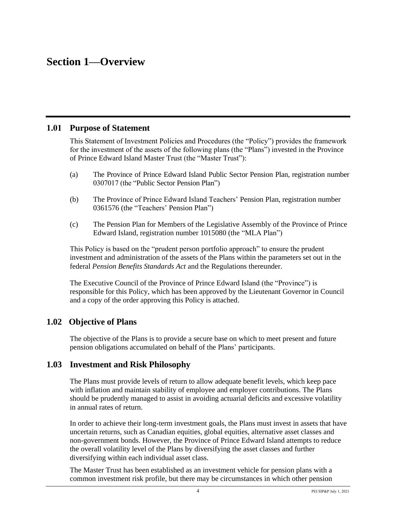## **Section 1—Overview**

#### **1.01 Purpose of Statement**

This Statement of Investment Policies and Procedures (the "Policy") provides the framework for the investment of the assets of the following plans (the "Plans") invested in the Province of Prince Edward Island Master Trust (the "Master Trust"):

- (a) The Province of Prince Edward Island Public Sector Pension Plan, registration number 0307017 (the "Public Sector Pension Plan")
- (b) The Province of Prince Edward Island Teachers' Pension Plan, registration number 0361576 (the "Teachers' Pension Plan")
- (c) The Pension Plan for Members of the Legislative Assembly of the Province of Prince Edward Island, registration number 1015080 (the "MLA Plan")

This Policy is based on the "prudent person portfolio approach" to ensure the prudent investment and administration of the assets of the Plans within the parameters set out in the federal *Pension Benefits Standards Act* and the Regulations thereunder.

The Executive Council of the Province of Prince Edward Island (the "Province") is responsible for this Policy, which has been approved by the Lieutenant Governor in Council and a copy of the order approving this Policy is attached.

#### **1.02 Objective of Plans**

The objective of the Plans is to provide a secure base on which to meet present and future pension obligations accumulated on behalf of the Plans' participants.

#### **1.03 Investment and Risk Philosophy**

The Plans must provide levels of return to allow adequate benefit levels, which keep pace with inflation and maintain stability of employee and employer contributions. The Plans should be prudently managed to assist in avoiding actuarial deficits and excessive volatility in annual rates of return.

In order to achieve their long-term investment goals, the Plans must invest in assets that have uncertain returns, such as Canadian equities, global equities, alternative asset classes and non-government bonds. However, the Province of Prince Edward Island attempts to reduce the overall volatility level of the Plans by diversifying the asset classes and further diversifying within each individual asset class.

The Master Trust has been established as an investment vehicle for pension plans with a common investment risk profile, but there may be circumstances in which other pension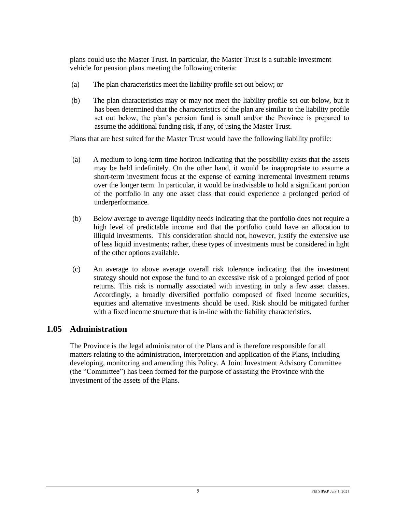plans could use the Master Trust. In particular, the Master Trust is a suitable investment vehicle for pension plans meeting the following criteria:

- (a) The plan characteristics meet the liability profile set out below; or
- (b) The plan characteristics may or may not meet the liability profile set out below, but it has been determined that the characteristics of the plan are similar to the liability profile set out below, the plan's pension fund is small and/or the Province is prepared to assume the additional funding risk, if any, of using the Master Trust.

Plans that are best suited for the Master Trust would have the following liability profile:

- (a) A medium to long-term time horizon indicating that the possibility exists that the assets may be held indefinitely. On the other hand, it would be inappropriate to assume a short-term investment focus at the expense of earning incremental investment returns over the longer term. In particular, it would be inadvisable to hold a significant portion of the portfolio in any one asset class that could experience a prolonged period of underperformance.
- (b) Below average to average liquidity needs indicating that the portfolio does not require a high level of predictable income and that the portfolio could have an allocation to illiquid investments. This consideration should not, however, justify the extensive use of less liquid investments; rather, these types of investments must be considered in light of the other options available.
- (c) An average to above average overall risk tolerance indicating that the investment strategy should not expose the fund to an excessive risk of a prolonged period of poor returns. This risk is normally associated with investing in only a few asset classes. Accordingly, a broadly diversified portfolio composed of fixed income securities, equities and alternative investments should be used. Risk should be mitigated further with a fixed income structure that is in-line with the liability characteristics.

### **1.05 Administration**

The Province is the legal administrator of the Plans and is therefore responsible for all matters relating to the administration, interpretation and application of the Plans, including developing, monitoring and amending this Policy. A Joint Investment Advisory Committee (the "Committee") has been formed for the purpose of assisting the Province with the investment of the assets of the Plans.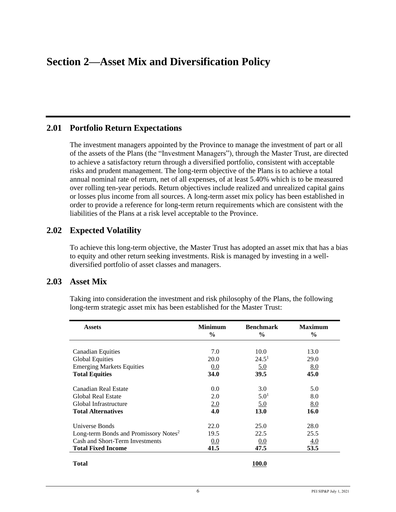## **Section 2—Asset Mix and Diversification Policy**

#### **2.01 Portfolio Return Expectations**

The investment managers appointed by the Province to manage the investment of part or all of the assets of the Plans (the "Investment Managers"), through the Master Trust, are directed to achieve a satisfactory return through a diversified portfolio, consistent with acceptable risks and prudent management. The long-term objective of the Plans is to achieve a total annual nominal rate of return, net of all expenses, of at least 5.40% which is to be measured over rolling ten-year periods. Return objectives include realized and unrealized capital gains or losses plus income from all sources. A long-term asset mix policy has been established in order to provide a reference for long-term return requirements which are consistent with the liabilities of the Plans at a risk level acceptable to the Province.

### **2.02 Expected Volatility**

To achieve this long-term objective, the Master Trust has adopted an asset mix that has a bias to equity and other return seeking investments. Risk is managed by investing in a welldiversified portfolio of asset classes and managers.

#### **2.03 Asset Mix**

| <b>Assets</b>                                     | <b>Minimum</b><br>$\%$ | <b>Benchmark</b><br>$\frac{6}{9}$ | <b>Maximum</b><br>$\%$ |
|---------------------------------------------------|------------------------|-----------------------------------|------------------------|
|                                                   | 7.0                    |                                   |                        |
| Canadian Equities                                 | 20.0                   | 10.0<br>24.5 <sup>1</sup>         | 13.0                   |
| <b>Global Equities</b>                            |                        |                                   | <b>29.0</b>            |
| <b>Emerging Markets Equities</b>                  | 0.0                    | 5.0                               | 8.0                    |
| <b>Total Equities</b>                             | 34.0                   | 39.5                              | 45.0                   |
| Canadian Real Estate                              | 0.0                    | 3.0                               | 5.0                    |
| <b>Global Real Estate</b>                         | 2.0                    | 5.0 <sup>1</sup>                  | 8.0                    |
| Global Infrastructure                             | 2.0                    | 5.0                               | 8.0                    |
| <b>Total Alternatives</b>                         | 4.0                    | 13.0                              | 16.0                   |
| Universe Bonds                                    | 22.0                   | 25.0                              | 28.0                   |
| Long-term Bonds and Promissory Notes <sup>2</sup> | 19.5                   | 22.5                              | 25.5                   |
| Cash and Short-Term Investments                   | 0.0                    | 0.0                               | 4.0                    |
| <b>Total Fixed Income</b>                         | 41.5                   | 47.5                              | 53.5                   |
| Total                                             |                        | 100.0                             |                        |

Taking into consideration the investment and risk philosophy of the Plans, the following long-term strategic asset mix has been established for the Master Trust: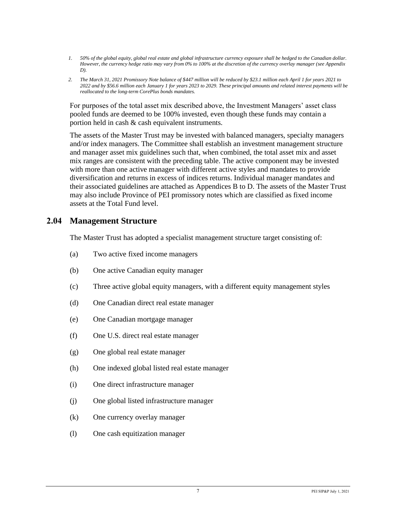- *1. 50% of the global equity, global real estate and global infrastructure currency exposure shall be hedged to the Canadian dollar. However, the currency hedge ratio may vary from 0% to 100% at the discretion of the currency overlay manager (see Appendix D).*
- *2. The March 31, 2021 Promissory Note balance of \$447 million will be reduced by \$23.1 million each April 1 for years 2021 to 2022 and by \$56.6 million each January 1 for years 2023 to 2029. These principal amounts and related interest payments will be reallocated to the long-term CorePlus bonds mandates.*

For purposes of the total asset mix described above, the Investment Managers' asset class pooled funds are deemed to be 100% invested, even though these funds may contain a portion held in cash & cash equivalent instruments.

The assets of the Master Trust may be invested with balanced managers, specialty managers and/or index managers. The Committee shall establish an investment management structure and manager asset mix guidelines such that, when combined, the total asset mix and asset mix ranges are consistent with the preceding table. The active component may be invested with more than one active manager with different active styles and mandates to provide diversification and returns in excess of indices returns. Individual manager mandates and their associated guidelines are attached as Appendices B to D. The assets of the Master Trust may also include Province of PEI promissory notes which are classified as fixed income assets at the Total Fund level.

#### **2.04 Management Structure**

The Master Trust has adopted a specialist management structure target consisting of:

- (a) Two active fixed income managers
- (b) One active Canadian equity manager
- (c) Three active global equity managers, with a different equity management styles
- (d) One Canadian direct real estate manager
- (e) One Canadian mortgage manager
- (f) One U.S. direct real estate manager
- (g) One global real estate manager
- (h) One indexed global listed real estate manager
- (i) One direct infrastructure manager
- (j) One global listed infrastructure manager
- (k) One currency overlay manager
- (l) One cash equitization manager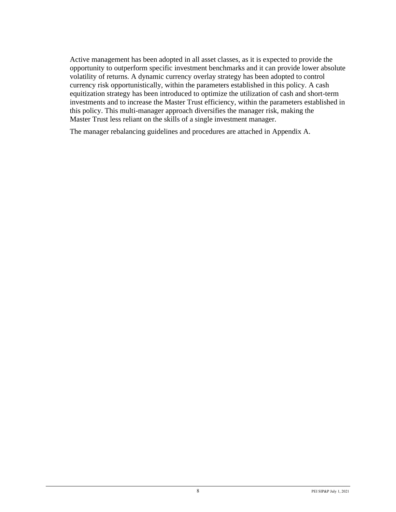Active management has been adopted in all asset classes, as it is expected to provide the opportunity to outperform specific investment benchmarks and it can provide lower absolute volatility of returns. A dynamic currency overlay strategy has been adopted to control currency risk opportunistically, within the parameters established in this policy. A cash equitization strategy has been introduced to optimize the utilization of cash and short-term investments and to increase the Master Trust efficiency, within the parameters established in this policy. This multi-manager approach diversifies the manager risk, making the Master Trust less reliant on the skills of a single investment manager.

The manager rebalancing guidelines and procedures are attached in Appendix A.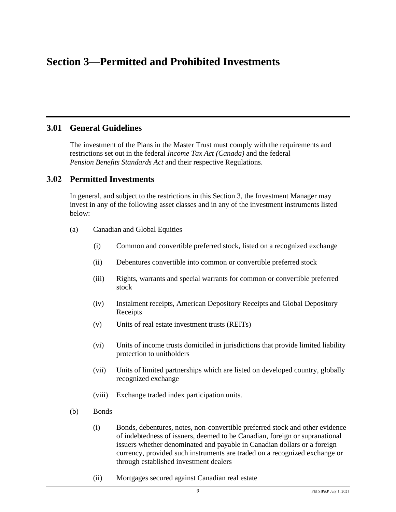## **Section 3—Permitted and Prohibited Investments**

#### **3.01 General Guidelines**

The investment of the Plans in the Master Trust must comply with the requirements and restrictions set out in the federal *Income Tax Act (Canada)* and the federal *Pension Benefits Standards Act* and their respective Regulations.

#### **3.02 Permitted Investments**

In general, and subject to the restrictions in this Section 3, the Investment Manager may invest in any of the following asset classes and in any of the investment instruments listed below:

- (a) Canadian and Global Equities
	- (i) Common and convertible preferred stock, listed on a recognized exchange
	- (ii) Debentures convertible into common or convertible preferred stock
	- (iii) Rights, warrants and special warrants for common or convertible preferred stock
	- (iv) Instalment receipts, American Depository Receipts and Global Depository Receipts
	- (v) Units of real estate investment trusts (REITs)
	- (vi) Units of income trusts domiciled in jurisdictions that provide limited liability protection to unitholders
	- (vii) Units of limited partnerships which are listed on developed country, globally recognized exchange
	- (viii) Exchange traded index participation units.
- (b) Bonds
	- (i) Bonds, debentures, notes, non-convertible preferred stock and other evidence of indebtedness of issuers, deemed to be Canadian, foreign or supranational issuers whether denominated and payable in Canadian dollars or a foreign currency, provided such instruments are traded on a recognized exchange or through established investment dealers
	- (ii) Mortgages secured against Canadian real estate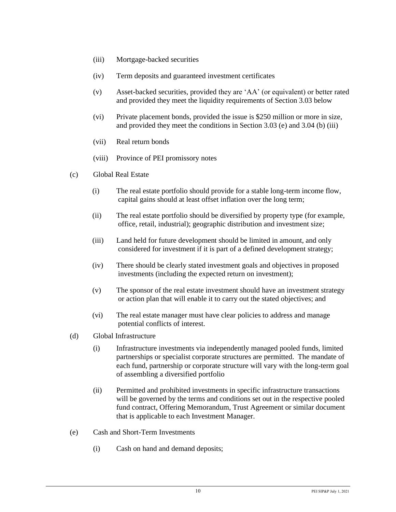- (iii) Mortgage-backed securities
- (iv) Term deposits and guaranteed investment certificates
- (v) Asset-backed securities, provided they are 'AA' (or equivalent) or better rated and provided they meet the liquidity requirements of Section 3.03 below
- (vi) Private placement bonds, provided the issue is \$250 million or more in size, and provided they meet the conditions in Section 3.03 (e) and 3.04 (b) (iii)
- (vii) Real return bonds
- (viii) Province of PEI promissory notes
- (c) Global Real Estate
	- (i) The real estate portfolio should provide for a stable long-term income flow, capital gains should at least offset inflation over the long term;
	- (ii) The real estate portfolio should be diversified by property type (for example, office, retail, industrial); geographic distribution and investment size;
	- (iii) Land held for future development should be limited in amount, and only considered for investment if it is part of a defined development strategy;
	- (iv) There should be clearly stated investment goals and objectives in proposed investments (including the expected return on investment);
	- (v) The sponsor of the real estate investment should have an investment strategy or action plan that will enable it to carry out the stated objectives; and
	- (vi) The real estate manager must have clear policies to address and manage potential conflicts of interest.
- (d) Global Infrastructure
	- (i) Infrastructure investments via independently managed pooled funds, limited partnerships or specialist corporate structures are permitted. The mandate of each fund, partnership or corporate structure will vary with the long-term goal of assembling a diversified portfolio
	- (ii) Permitted and prohibited investments in specific infrastructure transactions will be governed by the terms and conditions set out in the respective pooled fund contract, Offering Memorandum, Trust Agreement or similar document that is applicable to each Investment Manager.
- (e) Cash and Short-Term Investments
	- (i) Cash on hand and demand deposits;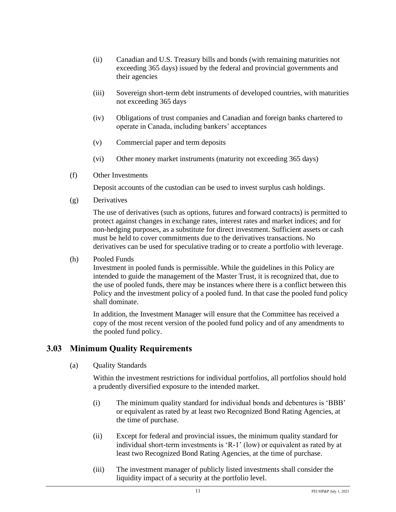- (ii) Canadian and U.S. Treasury bills and bonds (with remaining maturities not exceeding 365 days) issued by the federal and provincial governments and their agencies
- (iii) Sovereign short-term debt instruments of developed countries, with maturities not exceeding 365 days
- (iv) Obligations of trust companies and Canadian and foreign banks chartered to operate in Canada, including bankers' acceptances
- (v) Commercial paper and term deposits
- (vi) Other money market instruments (maturity not exceeding 365 days)
- (f) Other Investments

Deposit accounts of the custodian can be used to invest surplus cash holdings.

(g) Derivatives

The use of derivatives (such as options, futures and forward contracts) is permitted to protect against changes in exchange rates, interest rates and market indices; and for non-hedging purposes, as a substitute for direct investment. Sufficient assets or cash must be held to cover commitments due to the derivatives transactions. No derivatives can be used for speculative trading or to create a portfolio with leverage.

(h) Pooled Funds

Investment in pooled funds is permissible. While the guidelines in this Policy are intended to guide the management of the Master Trust, it is recognized that, due to the use of pooled funds, there may be instances where there is a conflict between this Policy and the investment policy of a pooled fund. In that case the pooled fund policy shall dominate.

In addition, the Investment Manager will ensure that the Committee has received a copy of the most recent version of the pooled fund policy and of any amendments to the pooled fund policy.

### **3.03 Minimum Quality Requirements**

(a) Quality Standards

Within the investment restrictions for individual portfolios, all portfolios should hold a prudently diversified exposure to the intended market.

- (i) The minimum quality standard for individual bonds and debentures is 'BBB' or equivalent as rated by at least two Recognized Bond Rating Agencies, at the time of purchase.
- (ii) Except for federal and provincial issues, the minimum quality standard for individual short-term investments is 'R-1' (low) or equivalent as rated by at least two Recognized Bond Rating Agencies, at the time of purchase.
- (iii) The investment manager of publicly listed investments shall consider the liquidity impact of a security at the portfolio level.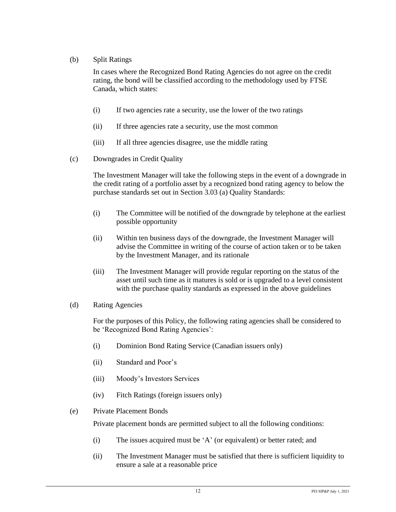(b) Split Ratings

In cases where the Recognized Bond Rating Agencies do not agree on the credit rating, the bond will be classified according to the methodology used by FTSE Canada, which states:

- (i) If two agencies rate a security, use the lower of the two ratings
- (ii) If three agencies rate a security, use the most common
- (iii) If all three agencies disagree, use the middle rating
- (c) Downgrades in Credit Quality

The Investment Manager will take the following steps in the event of a downgrade in the credit rating of a portfolio asset by a recognized bond rating agency to below the purchase standards set out in Section 3.03 (a) Quality Standards:

- (i) The Committee will be notified of the downgrade by telephone at the earliest possible opportunity
- (ii) Within ten business days of the downgrade, the Investment Manager will advise the Committee in writing of the course of action taken or to be taken by the Investment Manager, and its rationale
- (iii) The Investment Manager will provide regular reporting on the status of the asset until such time as it matures is sold or is upgraded to a level consistent with the purchase quality standards as expressed in the above guidelines
- (d) Rating Agencies

For the purposes of this Policy, the following rating agencies shall be considered to be 'Recognized Bond Rating Agencies':

- (i) Dominion Bond Rating Service (Canadian issuers only)
- (ii) Standard and Poor's
- (iii) Moody's Investors Services
- (iv) Fitch Ratings (foreign issuers only)
- (e) Private Placement Bonds

Private placement bonds are permitted subject to all the following conditions:

- (i) The issues acquired must be 'A' (or equivalent) or better rated; and
- (ii) The Investment Manager must be satisfied that there is sufficient liquidity to ensure a sale at a reasonable price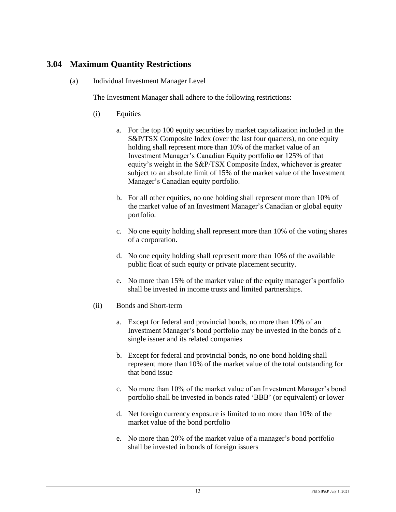## **3.04 Maximum Quantity Restrictions**

(a) Individual Investment Manager Level

The Investment Manager shall adhere to the following restrictions:

- (i) Equities
	- a. For the top 100 equity securities by market capitalization included in the S&P/TSX Composite Index (over the last four quarters), no one equity holding shall represent more than 10% of the market value of an Investment Manager's Canadian Equity portfolio **or** 125% of that equity's weight in the S&P/TSX Composite Index, whichever is greater subject to an absolute limit of 15% of the market value of the Investment Manager's Canadian equity portfolio.
	- b. For all other equities, no one holding shall represent more than 10% of the market value of an Investment Manager's Canadian or global equity portfolio.
	- c. No one equity holding shall represent more than 10% of the voting shares of a corporation.
	- d. No one equity holding shall represent more than 10% of the available public float of such equity or private placement security.
	- e. No more than 15% of the market value of the equity manager's portfolio shall be invested in income trusts and limited partnerships.
- (ii) Bonds and Short-term
	- a. Except for federal and provincial bonds, no more than 10% of an Investment Manager's bond portfolio may be invested in the bonds of a single issuer and its related companies
	- b. Except for federal and provincial bonds, no one bond holding shall represent more than 10% of the market value of the total outstanding for that bond issue
	- c. No more than 10% of the market value of an Investment Manager's bond portfolio shall be invested in bonds rated 'BBB' (or equivalent) or lower
	- d. Net foreign currency exposure is limited to no more than 10% of the market value of the bond portfolio
	- e. No more than 20% of the market value of a manager's bond portfolio shall be invested in bonds of foreign issuers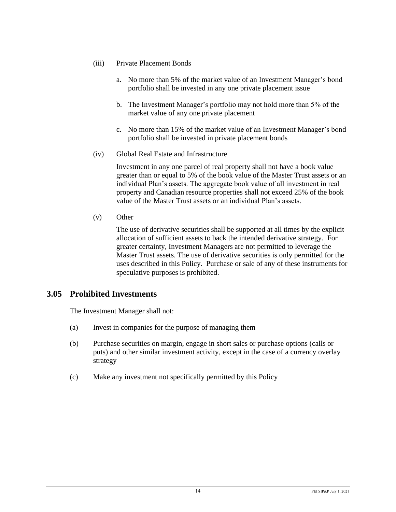- (iii) Private Placement Bonds
	- a. No more than 5% of the market value of an Investment Manager's bond portfolio shall be invested in any one private placement issue
	- b. The Investment Manager's portfolio may not hold more than 5% of the market value of any one private placement
	- c. No more than 15% of the market value of an Investment Manager's bond portfolio shall be invested in private placement bonds
- (iv) Global Real Estate and Infrastructure

Investment in any one parcel of real property shall not have a book value greater than or equal to 5% of the book value of the Master Trust assets or an individual Plan's assets. The aggregate book value of all investment in real property and Canadian resource properties shall not exceed 25% of the book value of the Master Trust assets or an individual Plan's assets.

(v) Other

The use of derivative securities shall be supported at all times by the explicit allocation of sufficient assets to back the intended derivative strategy. For greater certainty, Investment Managers are not permitted to leverage the Master Trust assets. The use of derivative securities is only permitted for the uses described in this Policy. Purchase or sale of any of these instruments for speculative purposes is prohibited.

### **3.05 Prohibited Investments**

The Investment Manager shall not:

- (a) Invest in companies for the purpose of managing them
- (b) Purchase securities on margin, engage in short sales or purchase options (calls or puts) and other similar investment activity, except in the case of a currency overlay strategy
- (c) Make any investment not specifically permitted by this Policy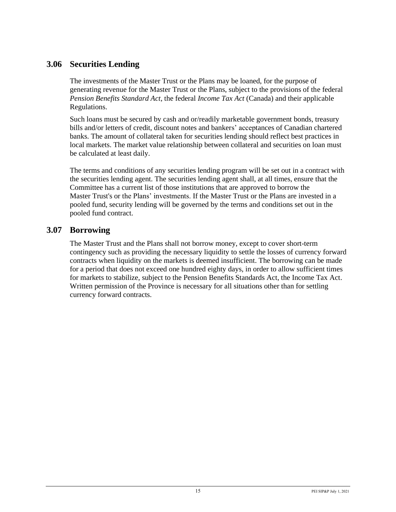## **3.06 Securities Lending**

The investments of the Master Trust or the Plans may be loaned, for the purpose of generating revenue for the Master Trust or the Plans, subject to the provisions of the federal *Pension Benefits Standard Act*, the federal *Income Tax Act* (Canada) and their applicable Regulations.

Such loans must be secured by cash and or/readily marketable government bonds, treasury bills and/or letters of credit, discount notes and bankers' acceptances of Canadian chartered banks. The amount of collateral taken for securities lending should reflect best practices in local markets. The market value relationship between collateral and securities on loan must be calculated at least daily.

The terms and conditions of any securities lending program will be set out in a contract with the securities lending agent. The securities lending agent shall, at all times, ensure that the Committee has a current list of those institutions that are approved to borrow the Master Trust's or the Plans' investments. If the Master Trust or the Plans are invested in a pooled fund, security lending will be governed by the terms and conditions set out in the pooled fund contract.

### **3.07 Borrowing**

The Master Trust and the Plans shall not borrow money, except to cover short-term contingency such as providing the necessary liquidity to settle the losses of currency forward contracts when liquidity on the markets is deemed insufficient. The borrowing can be made for a period that does not exceed one hundred eighty days, in order to allow sufficient times for markets to stabilize, subject to the Pension Benefits Standards Act, the Income Tax Act. Written permission of the Province is necessary for all situations other than for settling currency forward contracts.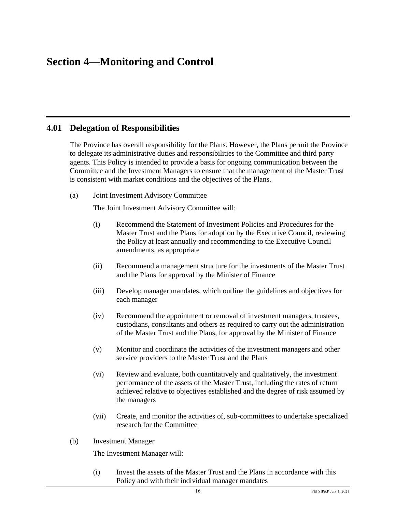## **Section 4—Monitoring and Control**

#### **4.01 Delegation of Responsibilities**

The Province has overall responsibility for the Plans. However, the Plans permit the Province to delegate its administrative duties and responsibilities to the Committee and third party agents. This Policy is intended to provide a basis for ongoing communication between the Committee and the Investment Managers to ensure that the management of the Master Trust is consistent with market conditions and the objectives of the Plans.

(a) Joint Investment Advisory Committee

The Joint Investment Advisory Committee will:

- (i) Recommend the Statement of Investment Policies and Procedures for the Master Trust and the Plans for adoption by the Executive Council, reviewing the Policy at least annually and recommending to the Executive Council amendments, as appropriate
- (ii) Recommend a management structure for the investments of the Master Trust and the Plans for approval by the Minister of Finance
- (iii) Develop manager mandates, which outline the guidelines and objectives for each manager
- (iv) Recommend the appointment or removal of investment managers, trustees, custodians, consultants and others as required to carry out the administration of the Master Trust and the Plans, for approval by the Minister of Finance
- (v) Monitor and coordinate the activities of the investment managers and other service providers to the Master Trust and the Plans
- (vi) Review and evaluate, both quantitatively and qualitatively, the investment performance of the assets of the Master Trust, including the rates of return achieved relative to objectives established and the degree of risk assumed by the managers
- (vii) Create, and monitor the activities of, sub-committees to undertake specialized research for the Committee
- (b) Investment Manager

The Investment Manager will:

(i) Invest the assets of the Master Trust and the Plans in accordance with this Policy and with their individual manager mandates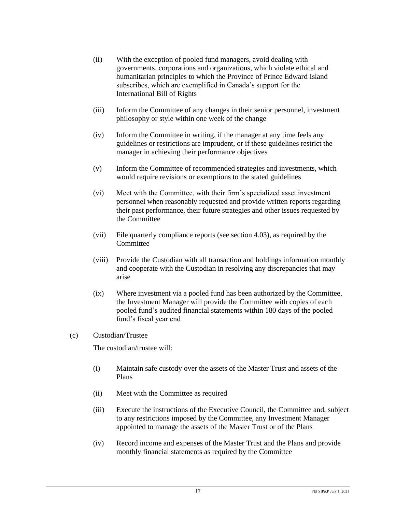- (ii) With the exception of pooled fund managers, avoid dealing with governments, corporations and organizations, which violate ethical and humanitarian principles to which the Province of Prince Edward Island subscribes, which are exemplified in Canada's support for the International Bill of Rights
- (iii) Inform the Committee of any changes in their senior personnel, investment philosophy or style within one week of the change
- (iv) Inform the Committee in writing, if the manager at any time feels any guidelines or restrictions are imprudent, or if these guidelines restrict the manager in achieving their performance objectives
- (v) Inform the Committee of recommended strategies and investments, which would require revisions or exemptions to the stated guidelines
- (vi) Meet with the Committee, with their firm's specialized asset investment personnel when reasonably requested and provide written reports regarding their past performance, their future strategies and other issues requested by the Committee
- (vii) File quarterly compliance reports (see section 4.03), as required by the **Committee**
- (viii) Provide the Custodian with all transaction and holdings information monthly and cooperate with the Custodian in resolving any discrepancies that may arise
- (ix) Where investment via a pooled fund has been authorized by the Committee, the Investment Manager will provide the Committee with copies of each pooled fund's audited financial statements within 180 days of the pooled fund's fiscal year end

#### (c) Custodian/Trustee

The custodian/trustee will:

- (i) Maintain safe custody over the assets of the Master Trust and assets of the Plans
- (ii) Meet with the Committee as required
- (iii) Execute the instructions of the Executive Council, the Committee and, subject to any restrictions imposed by the Committee, any Investment Manager appointed to manage the assets of the Master Trust or of the Plans
- (iv) Record income and expenses of the Master Trust and the Plans and provide monthly financial statements as required by the Committee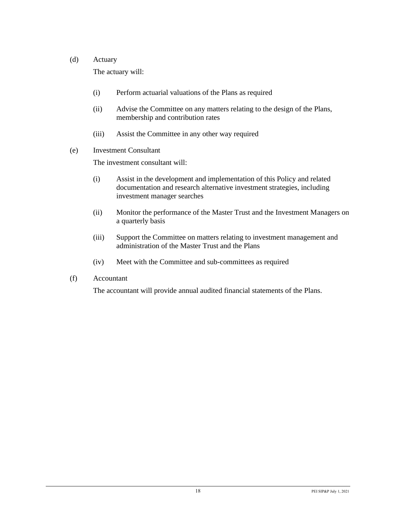#### (d) Actuary

The actuary will:

- (i) Perform actuarial valuations of the Plans as required
- (ii) Advise the Committee on any matters relating to the design of the Plans, membership and contribution rates
- (iii) Assist the Committee in any other way required
- (e) Investment Consultant

The investment consultant will:

- (i) Assist in the development and implementation of this Policy and related documentation and research alternative investment strategies, including investment manager searches
- (ii) Monitor the performance of the Master Trust and the Investment Managers on a quarterly basis
- (iii) Support the Committee on matters relating to investment management and administration of the Master Trust and the Plans
- (iv) Meet with the Committee and sub-committees as required
- (f) Accountant

The accountant will provide annual audited financial statements of the Plans.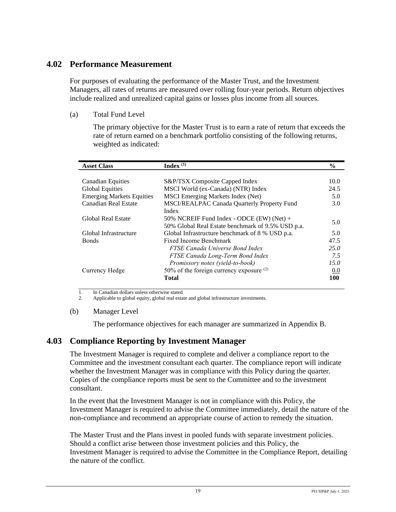### **4.02 Performance Measurement**

For purposes of evaluating the performance of the Master Trust, and the Investment Managers, all rates of returns are measured over rolling four-year periods. Return objectives include realized and unrealized capital gains or losses plus income from all sources.

#### (a) Total Fund Level

The primary objective for the Master Trust is to earn a rate of return that exceeds the rate of return earned on a benchmark portfolio consisting of the following returns, weighted as indicated:

| <b>Asset Class</b>               | Index $(1)$                                       | $\%$ |
|----------------------------------|---------------------------------------------------|------|
|                                  |                                                   |      |
| <b>Canadian Equities</b>         | S&P/TSX Composite Capped Index                    | 10.0 |
| <b>Global Equities</b>           | MSCI World (ex-Canada) (NTR) Index                | 24.5 |
| <b>Emerging Markets Equities</b> | MSCI Emerging Markets Index (Net)                 | 5.0  |
| Canadian Real Estate             | MSCI/REALPAC Canada Quarterly Property Fund       | 3.0  |
|                                  | Index                                             |      |
| <b>Global Real Estate</b>        | 50% NCREIF Fund Index - ODCE $(EW)$ (Net) +       |      |
|                                  | 50% Global Real Estate benchmark of 9.5% USD p.a. | 5.0  |
| Global Infrastructure            | Global Infrastructure benchmark of 8 % USD p.a.   | 5.0  |
| <b>Bonds</b>                     | Fixed Income Benchmark                            | 47.5 |
|                                  | FTSE Canada Universe Bond Index                   | 25.0 |
|                                  | FTSE Canada Long-Term Bond Index                  | 7.5  |
|                                  | Promissory notes (yield-to-book)                  | 15.0 |
| Currency Hedge                   | 50% of the foreign currency exposure $(2)$        | 0.0  |
|                                  | Total                                             | 100  |

1. In Canadian dollars unless otherwise stated

2. Applicable to global equity, global real estate and global infrastructure investments.

#### (b) Manager Level

The performance objectives for each manager are summarized in Appendix B.

## **4.03 Compliance Reporting by Investment Manager**

The Investment Manager is required to complete and deliver a compliance report to the Committee and the investment consultant each quarter. The compliance report will indicate whether the Investment Manager was in compliance with this Policy during the quarter. Copies of the compliance reports must be sent to the Committee and to the investment consultant.

In the event that the Investment Manager is not in compliance with this Policy, the Investment Manager is required to advise the Committee immediately, detail the nature of the non-compliance and recommend an appropriate course of action to remedy the situation.

The Master Trust and the Plans invest in pooled funds with separate investment policies. Should a conflict arise between those investment policies and this Policy, the Investment Manager is required to advise the Committee in the Compliance Report, detailing the nature of the conflict.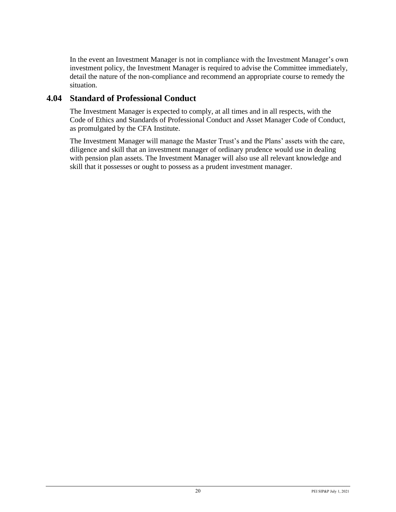In the event an Investment Manager is not in compliance with the Investment Manager's own investment policy, the Investment Manager is required to advise the Committee immediately, detail the nature of the non-compliance and recommend an appropriate course to remedy the situation.

### **4.04 Standard of Professional Conduct**

The Investment Manager is expected to comply, at all times and in all respects, with the Code of Ethics and Standards of Professional Conduct and Asset Manager Code of Conduct, as promulgated by the CFA Institute.

The Investment Manager will manage the Master Trust's and the Plans' assets with the care, diligence and skill that an investment manager of ordinary prudence would use in dealing with pension plan assets. The Investment Manager will also use all relevant knowledge and skill that it possesses or ought to possess as a prudent investment manager.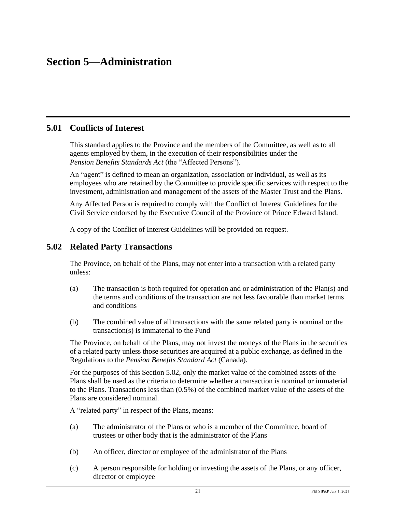## **Section 5—Administration**

### **5.01 Conflicts of Interest**

This standard applies to the Province and the members of the Committee, as well as to all agents employed by them, in the execution of their responsibilities under the *Pension Benefits Standards Act* (the "Affected Persons").

An "agent" is defined to mean an organization, association or individual, as well as its employees who are retained by the Committee to provide specific services with respect to the investment, administration and management of the assets of the Master Trust and the Plans.

Any Affected Person is required to comply with the Conflict of Interest Guidelines for the Civil Service endorsed by the Executive Council of the Province of Prince Edward Island.

A copy of the Conflict of Interest Guidelines will be provided on request.

#### **5.02 Related Party Transactions**

The Province, on behalf of the Plans, may not enter into a transaction with a related party unless:

- (a) The transaction is both required for operation and or administration of the Plan(s) and the terms and conditions of the transaction are not less favourable than market terms and conditions
- (b) The combined value of all transactions with the same related party is nominal or the transaction(s) is immaterial to the Fund

The Province, on behalf of the Plans, may not invest the moneys of the Plans in the securities of a related party unless those securities are acquired at a public exchange, as defined in the Regulations to the *Pension Benefits Standard Act* (Canada).

For the purposes of this Section 5.02, only the market value of the combined assets of the Plans shall be used as the criteria to determine whether a transaction is nominal or immaterial to the Plans. Transactions less than (0.5%) of the combined market value of the assets of the Plans are considered nominal.

A "related party" in respect of the Plans, means:

- (a) The administrator of the Plans or who is a member of the Committee, board of trustees or other body that is the administrator of the Plans
- (b) An officer, director or employee of the administrator of the Plans
- (c) A person responsible for holding or investing the assets of the Plans, or any officer, director or employee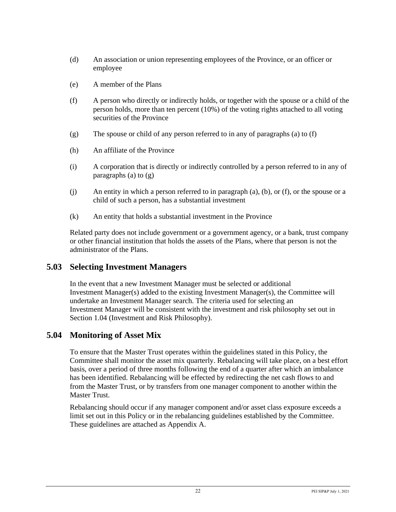- (d) An association or union representing employees of the Province, or an officer or employee
- (e) A member of the Plans
- (f) A person who directly or indirectly holds, or together with the spouse or a child of the person holds, more than ten percent (10%) of the voting rights attached to all voting securities of the Province
- (g) The spouse or child of any person referred to in any of paragraphs (a) to (f)
- (h) An affiliate of the Province
- (i) A corporation that is directly or indirectly controlled by a person referred to in any of paragraphs (a) to  $(g)$
- (j) An entity in which a person referred to in paragraph (a), (b), or (f), or the spouse or a child of such a person, has a substantial investment
- (k) An entity that holds a substantial investment in the Province

Related party does not include government or a government agency, or a bank, trust company or other financial institution that holds the assets of the Plans, where that person is not the administrator of the Plans.

### **5.03 Selecting Investment Managers**

In the event that a new Investment Manager must be selected or additional Investment Manager(s) added to the existing Investment Manager(s), the Committee will undertake an Investment Manager search. The criteria used for selecting an Investment Manager will be consistent with the investment and risk philosophy set out in Section 1.04 (Investment and Risk Philosophy).

## **5.04 Monitoring of Asset Mix**

To ensure that the Master Trust operates within the guidelines stated in this Policy, the Committee shall monitor the asset mix quarterly. Rebalancing will take place, on a best effort basis, over a period of three months following the end of a quarter after which an imbalance has been identified. Rebalancing will be effected by redirecting the net cash flows to and from the Master Trust, or by transfers from one manager component to another within the Master Trust.

Rebalancing should occur if any manager component and/or asset class exposure exceeds a limit set out in this Policy or in the rebalancing guidelines established by the Committee. These guidelines are attached as Appendix A.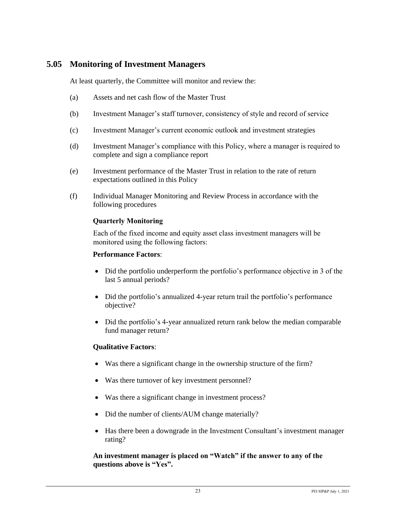### **5.05 Monitoring of Investment Managers**

At least quarterly, the Committee will monitor and review the:

- (a) Assets and net cash flow of the Master Trust
- (b) Investment Manager's staff turnover, consistency of style and record of service
- (c) Investment Manager's current economic outlook and investment strategies
- (d) Investment Manager's compliance with this Policy, where a manager is required to complete and sign a compliance report
- (e) Investment performance of the Master Trust in relation to the rate of return expectations outlined in this Policy
- (f) Individual Manager Monitoring and Review Process in accordance with the following procedures

#### **Quarterly Monitoring**

Each of the fixed income and equity asset class investment managers will be monitored using the following factors:

#### **Performance Factors**:

- Did the portfolio underperform the portfolio's performance objective in 3 of the last 5 annual periods?
- Did the portfolio's annualized 4-year return trail the portfolio's performance objective?
- Did the portfolio's 4-year annualized return rank below the median comparable fund manager return?

#### **Qualitative Factors**:

- Was there a significant change in the ownership structure of the firm?
- Was there turnover of key investment personnel?
- Was there a significant change in investment process?
- Did the number of clients/AUM change materially?
- Has there been a downgrade in the Investment Consultant's investment manager rating?

**An investment manager is placed on "Watch" if the answer to any of the questions above is "Yes".**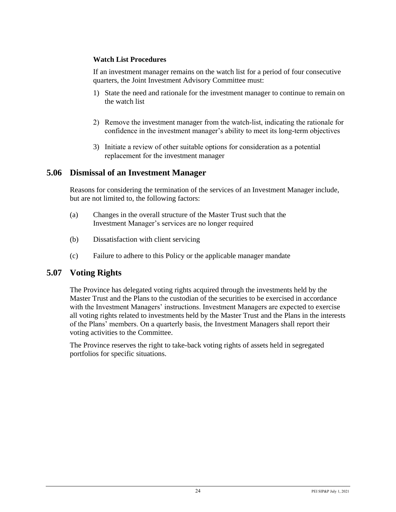#### **Watch List Procedures**

If an investment manager remains on the watch list for a period of four consecutive quarters, the Joint Investment Advisory Committee must:

- 1) State the need and rationale for the investment manager to continue to remain on the watch list
- 2) Remove the investment manager from the watch-list, indicating the rationale for confidence in the investment manager's ability to meet its long-term objectives
- 3) Initiate a review of other suitable options for consideration as a potential replacement for the investment manager

#### **5.06 Dismissal of an Investment Manager**

Reasons for considering the termination of the services of an Investment Manager include, but are not limited to, the following factors:

- (a) Changes in the overall structure of the Master Trust such that the Investment Manager's services are no longer required
- (b) Dissatisfaction with client servicing
- (c) Failure to adhere to this Policy or the applicable manager mandate

### **5.07 Voting Rights**

The Province has delegated voting rights acquired through the investments held by the Master Trust and the Plans to the custodian of the securities to be exercised in accordance with the Investment Managers' instructions. Investment Managers are expected to exercise all voting rights related to investments held by the Master Trust and the Plans in the interests of the Plans' members. On a quarterly basis, the Investment Managers shall report their voting activities to the Committee.

The Province reserves the right to take-back voting rights of assets held in segregated portfolios for specific situations.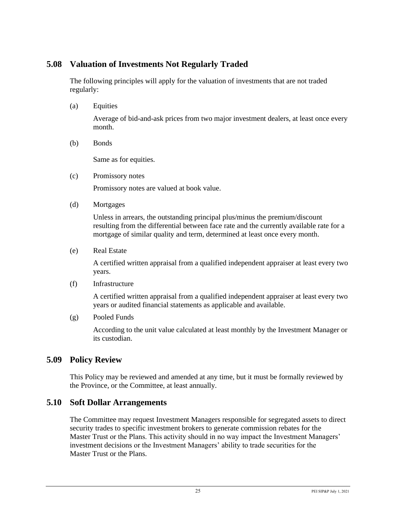## **5.08 Valuation of Investments Not Regularly Traded**

The following principles will apply for the valuation of investments that are not traded regularly:

(a) Equities

Average of bid-and-ask prices from two major investment dealers, at least once every month.

(b) Bonds

Same as for equities.

(c) Promissory notes

Promissory notes are valued at book value.

(d) Mortgages

Unless in arrears, the outstanding principal plus/minus the premium/discount resulting from the differential between face rate and the currently available rate for a mortgage of similar quality and term, determined at least once every month.

(e) Real Estate

A certified written appraisal from a qualified independent appraiser at least every two years.

(f) Infrastructure

A certified written appraisal from a qualified independent appraiser at least every two years or audited financial statements as applicable and available.

(g) Pooled Funds

According to the unit value calculated at least monthly by the Investment Manager or its custodian.

## **5.09 Policy Review**

This Policy may be reviewed and amended at any time, but it must be formally reviewed by the Province, or the Committee, at least annually.

### **5.10 Soft Dollar Arrangements**

The Committee may request Investment Managers responsible for segregated assets to direct security trades to specific investment brokers to generate commission rebates for the Master Trust or the Plans. This activity should in no way impact the Investment Managers' investment decisions or the Investment Managers' ability to trade securities for the Master Trust or the Plans.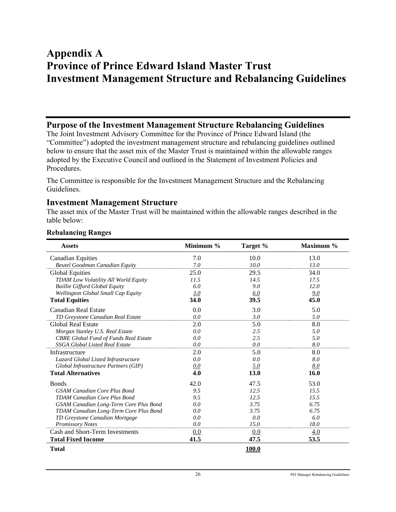## **Appendix A Province of Prince Edward Island Master Trust Investment Management Structure and Rebalancing Guidelines**

#### **Purpose of the Investment Management Structure Rebalancing Guidelines**

The Joint Investment Advisory Committee for the Province of Prince Edward Island (the "Committee") adopted the investment management structure and rebalancing guidelines outlined below to ensure that the asset mix of the Master Trust is maintained within the allowable ranges adopted by the Executive Council and outlined in the Statement of Investment Policies and Procedures.

The Committee is responsible for the Investment Management Structure and the Rebalancing Guidelines.

#### **Investment Management Structure**

The asset mix of the Master Trust will be maintained within the allowable ranges described in the table below:

| <b>Assets</b>                                | Minimum % | Target %   | Maximum % |
|----------------------------------------------|-----------|------------|-----------|
| <b>Canadian Equities</b>                     | 7.0       | 10.0       | 13.0      |
| Beutel Goodman Canadian Equity               | 7.0       | 10.0       | 13.0      |
| <b>Global Equities</b>                       | 25.0      | 29.5       | 34.0      |
| <b>TDAM Low Volatility All World Equity</b>  | 11.5      | 14.5       | 17.5      |
| <b>Baillie Gifford Global Equity</b>         | 6.0       | 9.0        | 12.0      |
| Wellington Global Small Cap Equity           | 3.0       | 6.0        | 9.0       |
| <b>Total Equities</b>                        | 34.0      | 39.5       | 45.0      |
| Canadian Real Estate                         | 0.0       | 3.0        | 5.0       |
| TD Greystone Canadian Real Estate            | 0.0       | 3.0        | 5.0       |
| Global Real Estate                           | 2.0       | 5.0        | 8.0       |
| Morgan Stanley U.S. Real Estate              | 0.0       | 2.5        | 5.0       |
| <b>CBRE Global Fund of Funds Real Estate</b> | 0.0       | 2.5        | 5.0       |
| <b>SSGA Global Listed Real Estate</b>        | 0.0       | 0.0        | 8.0       |
| Infrastructure                               | 2.0       | 5.0        | 8.0       |
| Lazard Global Listed Infrastructure          | 0.0       | 0.0        | 8.0       |
| Global Infrastructure Partners (GIP)         | 0.0       | <u>5.0</u> | 8.0       |
| <b>Total Alternatives</b>                    | 4.0       | 13.0       | 16.0      |
| <b>Bonds</b>                                 | 42.0      | 47.5       | 53.0      |
| <b>GSAM Canadian Core Plus Bond</b>          | 9.5       | 12.5       | 15.5      |
| <b>TDAM Canadian Core Plus Bond</b>          | 9.5       | 12.5       | 15.5      |
| GSAM Canadian Long-Term Core Plus Bond       | 0.0       | 3.75       | 6.75      |
| TDAM Canadian Long-Term Core Plus Bond       | 0.0       | 3.75       | 6.75      |
| TD Greystone Canadian Mortgage               | 0.0       | 0.0        | 6.0       |
| <b>Promissory Notes</b>                      | 0.0       | 15.0       | 18.0      |
| Cash and Short-Term Investments              | 0.0       | 0.0        | 4.0       |
| <b>Total Fixed Income</b>                    | 41.5      | 47.5       | 53.5      |
| <b>Total</b>                                 |           | 100.0      |           |

#### **Rebalancing Ranges**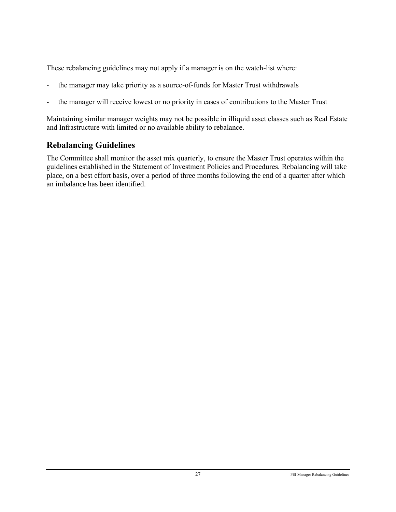These rebalancing guidelines may not apply if a manager is on the watch-list where:

- the manager may take priority as a source-of-funds for Master Trust withdrawals
- the manager will receive lowest or no priority in cases of contributions to the Master Trust

Maintaining similar manager weights may not be possible in illiquid asset classes such as Real Estate and Infrastructure with limited or no available ability to rebalance.

## **Rebalancing Guidelines**

The Committee shall monitor the asset mix quarterly, to ensure the Master Trust operates within the guidelines established in the Statement of Investment Policies and Procedures. Rebalancing will take place, on a best effort basis, over a period of three months following the end of a quarter after which an imbalance has been identified.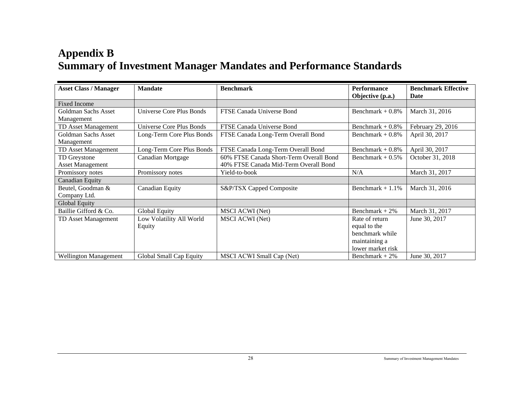# **Appendix B Summary of Investment Manager Mandates and Performance Standards**

| <b>Asset Class / Manager</b> | <b>Mandate</b>                  | <b>Benchmark</b>                        | <b>Performance</b><br>Objective (p.a.) | <b>Benchmark Effective</b><br>Date |
|------------------------------|---------------------------------|-----------------------------------------|----------------------------------------|------------------------------------|
| <b>Fixed Income</b>          |                                 |                                         |                                        |                                    |
| Goldman Sachs Asset          | <b>Universe Core Plus Bonds</b> | FTSE Canada Universe Bond               | Benchmark + $0.8\%$                    | March 31, 2016                     |
| Management                   |                                 |                                         |                                        |                                    |
| TD Asset Management          | Universe Core Plus Bonds        | FTSE Canada Universe Bond               | Benchmark $+0.8\%$                     | February 29, 2016                  |
| Goldman Sachs Asset          | Long-Term Core Plus Bonds       | FTSE Canada Long-Term Overall Bond      | Benchmark + $0.8\%$                    | April 30, 2017                     |
| Management                   |                                 |                                         |                                        |                                    |
| TD Asset Management          | Long-Term Core Plus Bonds       | FTSE Canada Long-Term Overall Bond      | Benchmark $+0.8\%$                     | April 30, 2017                     |
| TD Greystone                 | Canadian Mortgage               | 60% FTSE Canada Short-Term Overall Bond | Benchmark $+0.5\%$                     | October 31, 2018                   |
| <b>Asset Management</b>      |                                 | 40% FTSE Canada Mid-Term Overall Bond   |                                        |                                    |
| Promissory notes             | Promissory notes                | Yield-to-book                           | N/A                                    | March 31, 2017                     |
| Canadian Equity              |                                 |                                         |                                        |                                    |
| Beutel, Goodman &            | Canadian Equity                 | S&P/TSX Capped Composite                | Benchmark $+1.1\%$                     | March 31, 2016                     |
| Company Ltd.                 |                                 |                                         |                                        |                                    |
| Global Equity                |                                 |                                         |                                        |                                    |
| Baillie Gifford & Co.        | Global Equity                   | <b>MSCI ACWI (Net)</b>                  | Benchmark $+2\%$                       | March 31, 2017                     |
| TD Asset Management          | Low Volatility All World        | <b>MSCI ACWI (Net)</b>                  | Rate of return                         | June 30, 2017                      |
|                              | Equity                          |                                         | equal to the                           |                                    |
|                              |                                 |                                         | benchmark while                        |                                    |
|                              |                                 |                                         | maintaining a                          |                                    |
|                              |                                 |                                         | lower market risk                      |                                    |
| <b>Wellington Management</b> | Global Small Cap Equity         | MSCI ACWI Small Cap (Net)               | Benchmark $+2\%$                       | June 30, 2017                      |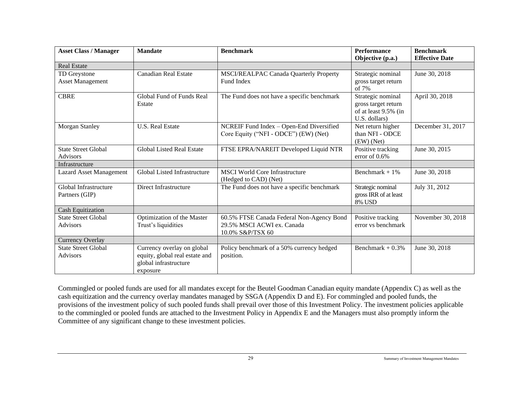| <b>Asset Class / Manager</b>                  | <b>Mandate</b>                                                                                    | <b>Benchmark</b>                                                                            | <b>Performance</b><br>Objective (p.a.)                                            | <b>Benchmark</b><br><b>Effective Date</b> |
|-----------------------------------------------|---------------------------------------------------------------------------------------------------|---------------------------------------------------------------------------------------------|-----------------------------------------------------------------------------------|-------------------------------------------|
| <b>Real Estate</b>                            |                                                                                                   |                                                                                             |                                                                                   |                                           |
| TD Greystone<br><b>Asset Management</b>       | <b>Canadian Real Estate</b>                                                                       | MSCI/REALPAC Canada Quarterly Property<br>Fund Index                                        | Strategic nominal<br>gross target return<br>of 7%                                 | June 30, 2018                             |
| <b>CBRE</b>                                   | Global Fund of Funds Real<br>Estate                                                               | The Fund does not have a specific benchmark                                                 | Strategic nominal<br>gross target return<br>of at least 9.5% (in<br>U.S. dollars) | April 30, 2018                            |
| Morgan Stanley                                | <b>U.S. Real Estate</b>                                                                           | NCREIF Fund Index - Open-End Diversified<br>Core Equity ("NFI - ODCE") (EW) (Net)           | Net return higher<br>than NFI - ODCE<br>$(EW)$ (Net)                              | December 31, 2017                         |
| <b>State Street Global</b><br>Advisors        | Global Listed Real Estate                                                                         | FTSE EPRA/NAREIT Developed Liquid NTR                                                       | Positive tracking<br>error of $0.6\%$                                             | June 30, 2015                             |
| Infrastructure                                |                                                                                                   |                                                                                             |                                                                                   |                                           |
| <b>Lazard Asset Management</b>                | Global Listed Infrastructure                                                                      | <b>MSCI World Core Infrastructure</b><br>(Hedged to CAD) (Net)                              | Benchmark + $1\%$                                                                 | June 30, 2018                             |
| Global Infrastructure<br>Partners (GIP)       | Direct Infrastructure                                                                             | The Fund does not have a specific benchmark                                                 | Strategic nominal<br>gross IRR of at least<br>8% USD                              | July 31, 2012                             |
| <b>Cash Equitization</b>                      |                                                                                                   |                                                                                             |                                                                                   |                                           |
| <b>State Street Global</b><br><b>Advisors</b> | Optimization of the Master<br>Trust's liquidities                                                 | 60.5% FTSE Canada Federal Non-Agency Bond<br>29.5% MSCI ACWI ex. Canada<br>10.0% S&P/TSX 60 | Positive tracking<br>error vs benchmark                                           | November 30, 2018                         |
| <b>Currency Overlay</b>                       |                                                                                                   |                                                                                             |                                                                                   |                                           |
| <b>State Street Global</b><br>Advisors        | Currency overlay on global<br>equity, global real estate and<br>global infrastructure<br>exposure | Policy benchmark of a 50% currency hedged<br>position.                                      | Benchmark + $0.3\%$                                                               | June 30, 2018                             |

Commingled or pooled funds are used for all mandates except for the Beutel Goodman Canadian equity mandate (Appendix C) as well as the cash equitization and the currency overlay mandates managed by SSGA (Appendix D and E). For commingled and pooled funds, the provisions of the investment policy of such pooled funds shall prevail over those of this Investment Policy. The investment policies applicable to the commingled or pooled funds are attached to the Investment Policy in Appendix E and the Managers must also promptly inform the Committee of any significant change to these investment policies.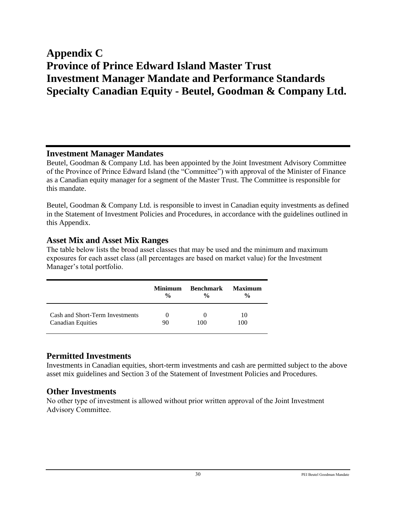# **Appendix C Province of Prince Edward Island Master Trust Investment Manager Mandate and Performance Standards Specialty Canadian Equity - Beutel, Goodman & Company Ltd.**

#### **Investment Manager Mandates**

Beutel, Goodman & Company Ltd. has been appointed by the Joint Investment Advisory Committee of the Province of Prince Edward Island (the "Committee") with approval of the Minister of Finance as a Canadian equity manager for a segment of the Master Trust. The Committee is responsible for this mandate.

Beutel, Goodman & Company Ltd. is responsible to invest in Canadian equity investments as defined in the Statement of Investment Policies and Procedures, in accordance with the guidelines outlined in this Appendix.

### **Asset Mix and Asset Mix Ranges**

The table below lists the broad asset classes that may be used and the minimum and maximum exposures for each asset class (all percentages are based on market value) for the Investment Manager's total portfolio.

|                                 | <b>Minimum</b> | <b>Benchmark</b> | Maximum       |
|---------------------------------|----------------|------------------|---------------|
|                                 | $\frac{0}{0}$  | $\frac{0}{0}$    | $\frac{6}{9}$ |
| Cash and Short-Term Investments | $\theta$       | $\theta$         | 10            |
| <b>Canadian Equities</b>        | 90             | 100              | 100           |

## **Permitted Investments**

Investments in Canadian equities, short-term investments and cash are permitted subject to the above asset mix guidelines and Section 3 of the Statement of Investment Policies and Procedures.

### **Other Investments**

No other type of investment is allowed without prior written approval of the Joint Investment Advisory Committee.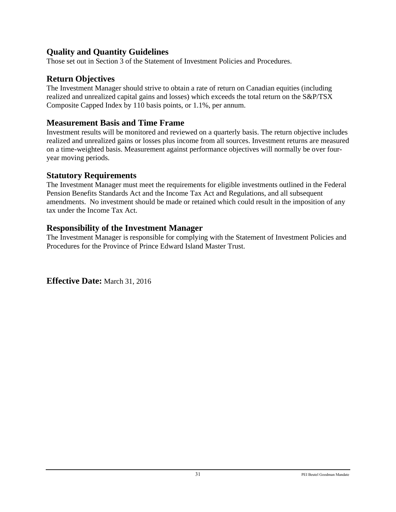## **Quality and Quantity Guidelines**

Those set out in Section 3 of the Statement of Investment Policies and Procedures.

## **Return Objectives**

The Investment Manager should strive to obtain a rate of return on Canadian equities (including realized and unrealized capital gains and losses) which exceeds the total return on the S&P/TSX Composite Capped Index by 110 basis points, or 1.1%, per annum.

## **Measurement Basis and Time Frame**

Investment results will be monitored and reviewed on a quarterly basis. The return objective includes realized and unrealized gains or losses plus income from all sources. Investment returns are measured on a time-weighted basis. Measurement against performance objectives will normally be over fouryear moving periods.

## **Statutory Requirements**

The Investment Manager must meet the requirements for eligible investments outlined in the Federal Pension Benefits Standards Act and the Income Tax Act and Regulations, and all subsequent amendments. No investment should be made or retained which could result in the imposition of any tax under the Income Tax Act.

## **Responsibility of the Investment Manager**

The Investment Manager is responsible for complying with the Statement of Investment Policies and Procedures for the Province of Prince Edward Island Master Trust.

**Effective Date:** March 31, 2016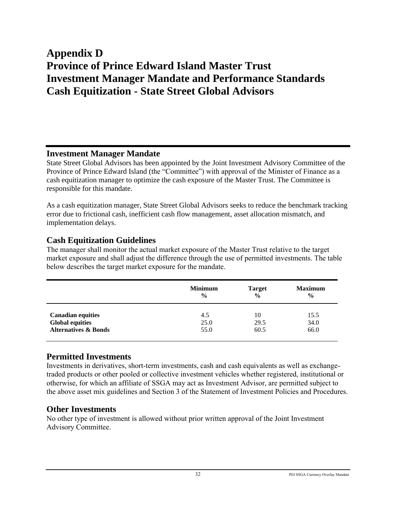# **Appendix D Province of Prince Edward Island Master Trust Investment Manager Mandate and Performance Standards Cash Equitization - State Street Global Advisors**

#### **Investment Manager Mandate**

State Street Global Advisors has been appointed by the Joint Investment Advisory Committee of the Province of Prince Edward Island (the "Committee") with approval of the Minister of Finance as a cash equitization manager to optimize the cash exposure of the Master Trust. The Committee is responsible for this mandate.

As a cash equitization manager, State Street Global Advisors seeks to reduce the benchmark tracking error due to frictional cash, inefficient cash flow management, asset allocation mismatch, and implementation delays.

### **Cash Equitization Guidelines**

The manager shall monitor the actual market exposure of the Master Trust relative to the target market exposure and shall adjust the difference through the use of permitted investments. The table below describes the target market exposure for the mandate.

|                                 | <b>Minimum</b> | <b>Target</b> | <b>Maximum</b> |
|---------------------------------|----------------|---------------|----------------|
|                                 | $\frac{6}{9}$  | $\frac{0}{0}$ | $\frac{6}{9}$  |
| <b>Canadian equities</b>        | 4.5            | 10            | 15.5           |
| <b>Global equities</b>          | 25.0           | 29.5          | 34.0           |
| <b>Alternatives &amp; Bonds</b> | 55.0           | 60.5          | 66.0           |

## **Permitted Investments**

Investments in derivatives, short-term investments, cash and cash equivalents as well as exchangetraded products or other pooled or collective investment vehicles whether registered, institutional or otherwise, for which an affiliate of SSGA may act as Investment Advisor, are permitted subject to the above asset mix guidelines and Section 3 of the Statement of Investment Policies and Procedures.

### **Other Investments**

No other type of investment is allowed without prior written approval of the Joint Investment Advisory Committee.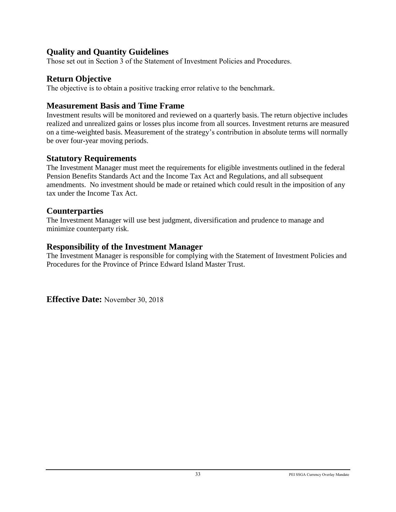## **Quality and Quantity Guidelines**

Those set out in Section 3 of the Statement of Investment Policies and Procedures.

## **Return Objective**

The objective is to obtain a positive tracking error relative to the benchmark.

## **Measurement Basis and Time Frame**

Investment results will be monitored and reviewed on a quarterly basis. The return objective includes realized and unrealized gains or losses plus income from all sources. Investment returns are measured on a time-weighted basis. Measurement of the strategy's contribution in absolute terms will normally be over four-year moving periods.

## **Statutory Requirements**

The Investment Manager must meet the requirements for eligible investments outlined in the federal Pension Benefits Standards Act and the Income Tax Act and Regulations, and all subsequent amendments. No investment should be made or retained which could result in the imposition of any tax under the Income Tax Act.

## **Counterparties**

The Investment Manager will use best judgment, diversification and prudence to manage and minimize counterparty risk.

## **Responsibility of the Investment Manager**

The Investment Manager is responsible for complying with the Statement of Investment Policies and Procedures for the Province of Prince Edward Island Master Trust.

**Effective Date:** November 30, 2018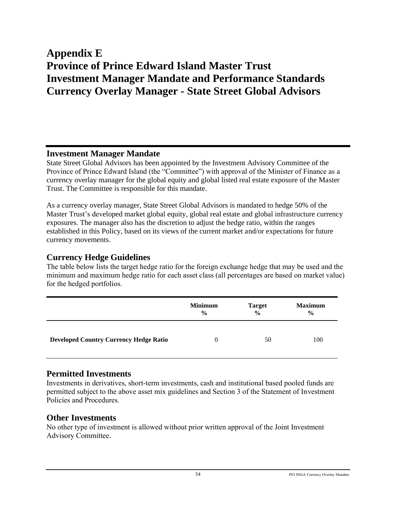# **Appendix E Province of Prince Edward Island Master Trust Investment Manager Mandate and Performance Standards Currency Overlay Manager - State Street Global Advisors**

#### **Investment Manager Mandate**

State Street Global Advisors has been appointed by the Investment Advisory Committee of the Province of Prince Edward Island (the "Committee") with approval of the Minister of Finance as a currency overlay manager for the global equity and global listed real estate exposure of the Master Trust. The Committee is responsible for this mandate.

As a currency overlay manager, State Street Global Advisors is mandated to hedge 50% of the Master Trust's developed market global equity, global real estate and global infrastructure currency exposures. The manager also has the discretion to adjust the hedge ratio, within the ranges established in this Policy, based on its views of the current market and/or expectations for future currency movements.

#### **Currency Hedge Guidelines**

The table below lists the target hedge ratio for the foreign exchange hedge that may be used and the minimum and maximum hedge ratio for each asset class (all percentages are based on market value) for the hedged portfolios.

|                                               | <b>Minimum</b> | <b>Target</b> | <b>Maximum</b> |
|-----------------------------------------------|----------------|---------------|----------------|
|                                               | $\frac{0}{0}$  | $\frac{0}{0}$ | $\frac{6}{9}$  |
| <b>Developed Country Currency Hedge Ratio</b> | 0              | 50            | 100            |

### **Permitted Investments**

Investments in derivatives, short-term investments, cash and institutional based pooled funds are permitted subject to the above asset mix guidelines and Section 3 of the Statement of Investment Policies and Procedures.

#### **Other Investments**

No other type of investment is allowed without prior written approval of the Joint Investment Advisory Committee.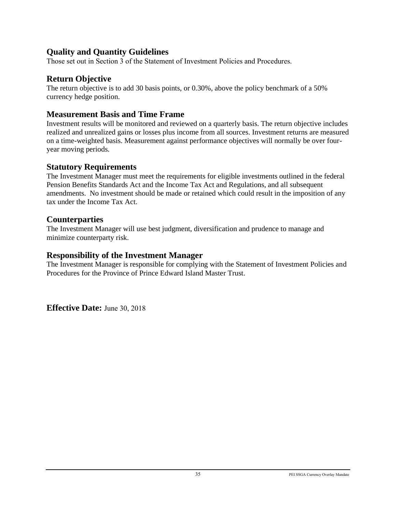## **Quality and Quantity Guidelines**

Those set out in Section 3 of the Statement of Investment Policies and Procedures.

## **Return Objective**

The return objective is to add 30 basis points, or 0.30%, above the policy benchmark of a 50% currency hedge position.

## **Measurement Basis and Time Frame**

Investment results will be monitored and reviewed on a quarterly basis. The return objective includes realized and unrealized gains or losses plus income from all sources. Investment returns are measured on a time-weighted basis. Measurement against performance objectives will normally be over fouryear moving periods.

## **Statutory Requirements**

The Investment Manager must meet the requirements for eligible investments outlined in the federal Pension Benefits Standards Act and the Income Tax Act and Regulations, and all subsequent amendments. No investment should be made or retained which could result in the imposition of any tax under the Income Tax Act.

## **Counterparties**

The Investment Manager will use best judgment, diversification and prudence to manage and minimize counterparty risk.

### **Responsibility of the Investment Manager**

The Investment Manager is responsible for complying with the Statement of Investment Policies and Procedures for the Province of Prince Edward Island Master Trust.

**Effective Date:** June 30, 2018